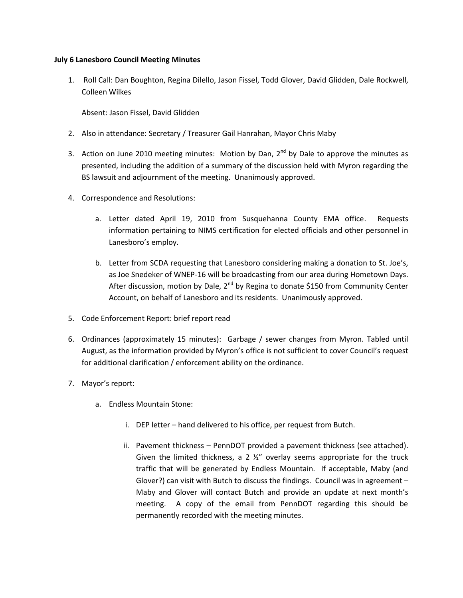## **July 6 Lanesboro Council Meeting Minutes**

1. Roll Call: Dan Boughton, Regina Dilello, Jason Fissel, Todd Glover, David Glidden, Dale Rockwell, Colleen Wilkes

Absent: Jason Fissel, David Glidden

- 2. Also in attendance: Secretary / Treasurer Gail Hanrahan, Mayor Chris Maby
- 3. Action on June 2010 meeting minutes: Motion by Dan,  $2^{nd}$  by Dale to approve the minutes as presented, including the addition of a summary of the discussion held with Myron regarding the BS lawsuit and adjournment of the meeting. Unanimously approved.
- 4. Correspondence and Resolutions:
	- a. Letter dated April 19, 2010 from Susquehanna County EMA office. Requests information pertaining to NIMS certification for elected officials and other personnel in Lanesboro's employ.
	- b. Letter from SCDA requesting that Lanesboro considering making a donation to St. Joe's, as Joe Snedeker of WNEP-16 will be broadcasting from our area during Hometown Days. After discussion, motion by Dale, 2<sup>nd</sup> by Regina to donate \$150 from Community Center Account, on behalf of Lanesboro and its residents. Unanimously approved.
- 5. Code Enforcement Report: brief report read
- 6. Ordinances (approximately 15 minutes): Garbage / sewer changes from Myron. Tabled until August, as the information provided by Myron's office is not sufficient to cover Council's request for additional clarification / enforcement ability on the ordinance.
- 7. Mayor's report:
	- a. Endless Mountain Stone:
		- i. DEP letter hand delivered to his office, per request from Butch.
		- ii. Pavement thickness PennDOT provided a pavement thickness (see attached). Given the limited thickness, a 2  $\frac{1}{2}$ " overlay seems appropriate for the truck traffic that will be generated by Endless Mountain. If acceptable, Maby (and Glover?) can visit with Butch to discuss the findings. Council was in agreement – Maby and Glover will contact Butch and provide an update at next month's meeting. A copy of the email from PennDOT regarding this should be permanently recorded with the meeting minutes.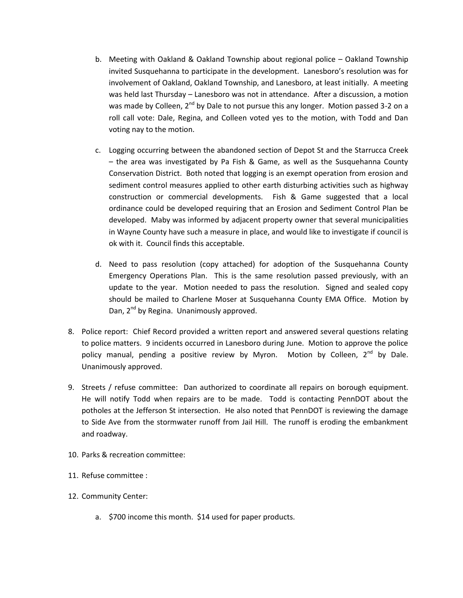- b. Meeting with Oakland & Oakland Township about regional police Oakland Township invited Susquehanna to participate in the development. Lanesboro's resolution was for involvement of Oakland, Oakland Township, and Lanesboro, at least initially. A meeting was held last Thursday – Lanesboro was not in attendance. After a discussion, a motion was made by Colleen,  $2^{nd}$  by Dale to not pursue this any longer. Motion passed 3-2 on a roll call vote: Dale, Regina, and Colleen voted yes to the motion, with Todd and Dan voting nay to the motion.
- c. Logging occurring between the abandoned section of Depot St and the Starrucca Creek – the area was investigated by Pa Fish & Game, as well as the Susquehanna County Conservation District. Both noted that logging is an exempt operation from erosion and sediment control measures applied to other earth disturbing activities such as highway construction or commercial developments. Fish & Game suggested that a local ordinance could be developed requiring that an Erosion and Sediment Control Plan be developed. Maby was informed by adjacent property owner that several municipalities in Wayne County have such a measure in place, and would like to investigate if council is ok with it. Council finds this acceptable.
- d. Need to pass resolution (copy attached) for adoption of the Susquehanna County Emergency Operations Plan. This is the same resolution passed previously, with an update to the year. Motion needed to pass the resolution. Signed and sealed copy should be mailed to Charlene Moser at Susquehanna County EMA Office. Motion by Dan, 2<sup>nd</sup> by Regina. Unanimously approved.
- 8. Police report: Chief Record provided a written report and answered several questions relating to police matters. 9 incidents occurred in Lanesboro during June. Motion to approve the police policy manual, pending a positive review by Myron. Motion by Colleen,  $2^{nd}$  by Dale. Unanimously approved.
- 9. Streets / refuse committee: Dan authorized to coordinate all repairs on borough equipment. He will notify Todd when repairs are to be made. Todd is contacting PennDOT about the potholes at the Jefferson St intersection. He also noted that PennDOT is reviewing the damage to Side Ave from the stormwater runoff from Jail Hill. The runoff is eroding the embankment and roadway.
- 10. Parks & recreation committee:
- 11. Refuse committee :
- 12. Community Center:
	- a. \$700 income this month. \$14 used for paper products.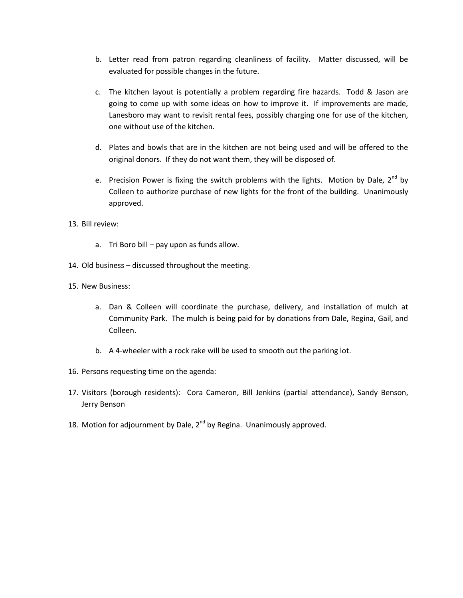- b. Letter read from patron regarding cleanliness of facility. Matter discussed, will be evaluated for possible changes in the future.
- c. The kitchen layout is potentially a problem regarding fire hazards. Todd & Jason are going to come up with some ideas on how to improve it. If improvements are made, Lanesboro may want to revisit rental fees, possibly charging one for use of the kitchen, one without use of the kitchen.
- d. Plates and bowls that are in the kitchen are not being used and will be offered to the original donors. If they do not want them, they will be disposed of.
- e. Precision Power is fixing the switch problems with the lights. Motion by Dale,  $2^{nd}$  by Colleen to authorize purchase of new lights for the front of the building. Unanimously approved.
- 13. Bill review:
	- a. Tri Boro bill pay upon as funds allow.
- 14. Old business discussed throughout the meeting.
- 15. New Business:
	- a. Dan & Colleen will coordinate the purchase, delivery, and installation of mulch at Community Park. The mulch is being paid for by donations from Dale, Regina, Gail, and Colleen.
	- b. A 4-wheeler with a rock rake will be used to smooth out the parking lot.
- 16. Persons requesting time on the agenda:
- 17. Visitors (borough residents): Cora Cameron, Bill Jenkins (partial attendance), Sandy Benson, Jerry Benson
- 18. Motion for adjournment by Dale,  $2^{nd}$  by Regina. Unanimously approved.